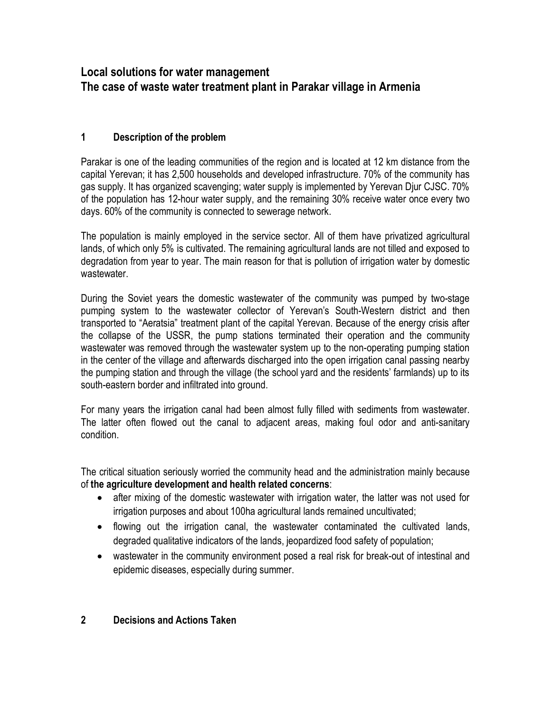# **Local solutions for water management The case of waste water treatment plant in Parakar village in Armenia**

## **1 Description of the problem**

Parakar is one of the leading communities of the region and is located at 12 km distance from the capital Yerevan; it has 2,500 households and developed infrastructure. 70% of the community has gas supply. It has organized scavenging; water supply is implemented by Yerevan Djur CJSC. 70% of the population has 12-hour water supply, and the remaining 30% receive water once every two days. 60% of the community is connected to sewerage network.

The population is mainly employed in the service sector. All of them have privatized agricultural lands, of which only 5% is cultivated. The remaining agricultural lands are not tilled and exposed to degradation from year to year. The main reason for that is pollution of irrigation water by domestic wastewater.

During the Soviet years the domestic wastewater of the community was pumped by two-stage pumping system to the wastewater collector of Yerevan's South-Western district and then transported to "Aeratsia" treatment plant of the capital Yerevan. Because of the energy crisis after the collapse of the USSR, the pump stations terminated their operation and the community wastewater was removed through the wastewater system up to the non-operating pumping station in the center of the village and afterwards discharged into the open irrigation canal passing nearby the pumping station and through the village (the school yard and the residents' farmlands) up to its south-eastern border and infiltrated into ground.

For many years the irrigation canal had been almost fully filled with sediments from wastewater. The latter often flowed out the canal to adjacent areas, making foul odor and anti-sanitary condition.

The critical situation seriously worried the community head and the administration mainly because of **the agriculture development and health related concerns**:

- after mixing of the domestic wastewater with irrigation water, the latter was not used for irrigation purposes and about 100ha agricultural lands remained uncultivated;
- flowing out the irrigation canal, the wastewater contaminated the cultivated lands, degraded qualitative indicators of the lands, jeopardized food safety of population;
- wastewater in the community environment posed a real risk for break-out of intestinal and epidemic diseases, especially during summer.

### **2 Decisions and Actions Taken**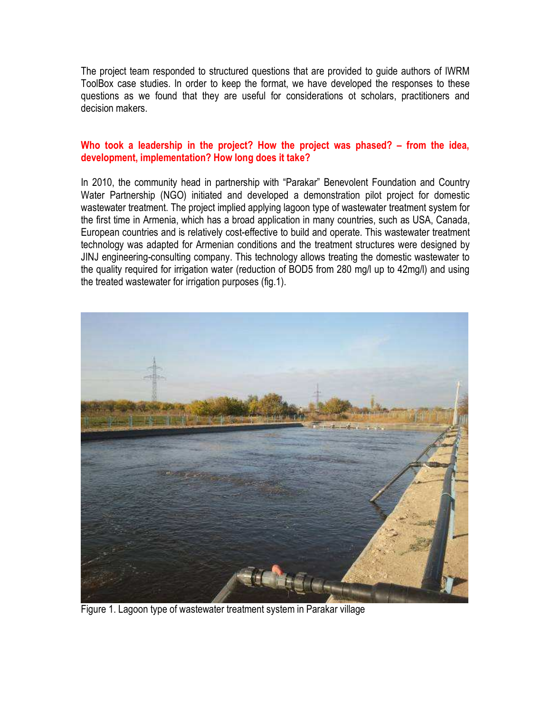The project team responded to structured questions that are provided to guide authors of IWRM ToolBox case studies. In order to keep the format, we have developed the responses to these questions as we found that they are useful for considerations ot scholars, practitioners and decision makers.

#### **Who took a leadership in the project? How the project was phased? – from the idea, development, implementation? How long does it take?**

In 2010, the community head in partnership with "Parakar" Benevolent Foundation and Country Water Partnership (NGO) initiated and developed a demonstration pilot project for domestic wastewater treatment. The project implied applying lagoon type of wastewater treatment system for the first time in Armenia, which has a broad application in many countries, such as USA, Canada, European countries and is relatively cost-effective to build and operate. This wastewater treatment technology was adapted for Armenian conditions and the treatment structures were designed by JINJ engineering-consulting company. This technology allows treating the domestic wastewater to the quality required for irrigation water (reduction of BOD5 from 280 mg/l up to 42mg/l) and using the treated wastewater for irrigation purposes (fig.1).



Figure 1. Lagoon type of wastewater treatment system in Parakar village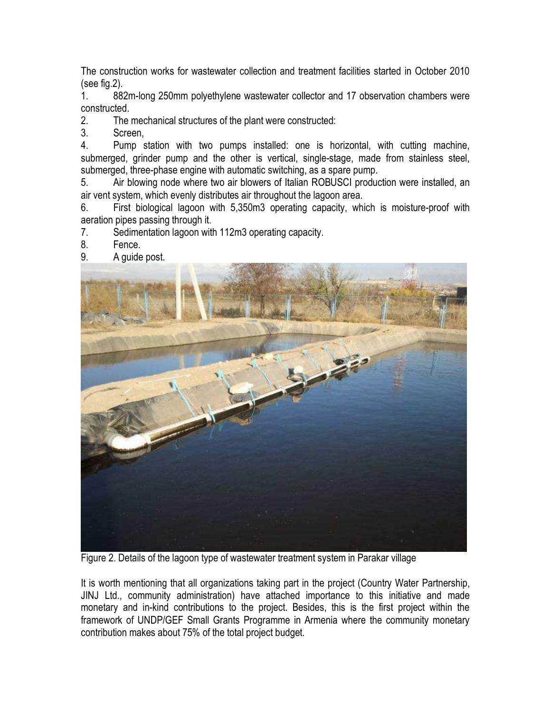The construction works for wastewater collection and treatment facilities started in October 2010 (see fig.2).

1. 882m-long 250mm polyethylene wastewater collector and 17 observation chambers were constructed.

2. The mechanical structures of the plant were constructed:

3. Screen,

4. Pump station with two pumps installed: one is horizontal, with cutting machine, submerged, grinder pump and the other is vertical, single-stage, made from stainless steel, submerged, three-phase engine with automatic switching, as a spare pump.

5. Air blowing node where two air blowers of Italian ROBUSCI production were installed, an air vent system, which evenly distributes air throughout the lagoon area.

6. First biological lagoon with 5,350m3 operating capacity, which is moisture-proof with aeration pipes passing through it.

7. Sedimentation lagoon with 112m3 operating capacity.

8. Fence.

9. A guide post.



Figure 2. Details of the lagoon type of wastewater treatment system in Parakar village

It is worth mentioning that all organizations taking part in the project (Country Water Partnership, JINJ Ltd., community administration) have attached importance to this initiative and made monetary and in-kind contributions to the project. Besides, this is the first project within the framework of UNDP/GEF Small Grants Programme in Armenia where the community monetary contribution makes about 75% of the total project budget.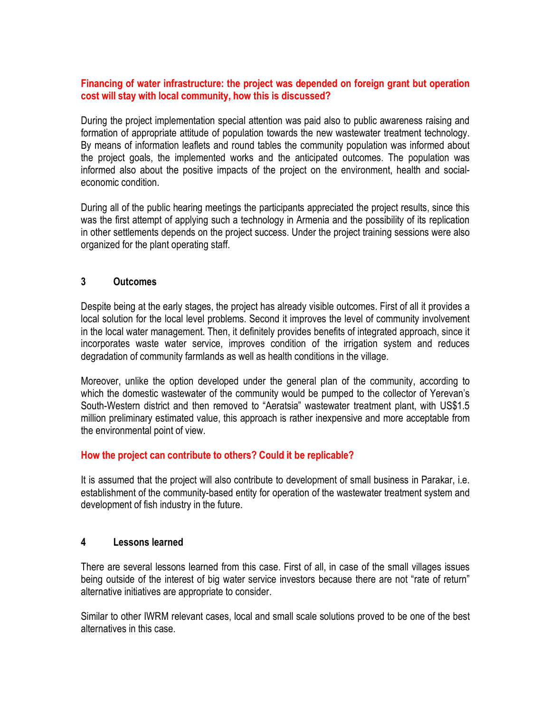#### **Financing of water infrastructure: the project was depended on foreign grant but operation cost will stay with local community, how this is discussed?**

During the project implementation special attention was paid also to public awareness raising and formation of appropriate attitude of population towards the new wastewater treatment technology. By means of information leaflets and round tables the community population was informed about the project goals, the implemented works and the anticipated outcomes. The population was informed also about the positive impacts of the project on the environment, health and socialeconomic condition.

During all of the public hearing meetings the participants appreciated the project results, since this was the first attempt of applying such a technology in Armenia and the possibility of its replication in other settlements depends on the project success. Under the project training sessions were also organized for the plant operating staff.

### **3 Outcomes**

Despite being at the early stages, the project has already visible outcomes. First of all it provides a local solution for the local level problems. Second it improves the level of community involvement in the local water management. Then, it definitely provides benefits of integrated approach, since it incorporates waste water service, improves condition of the irrigation system and reduces degradation of community farmlands as well as health conditions in the village.

Moreover, unlike the option developed under the general plan of the community, according to which the domestic wastewater of the community would be pumped to the collector of Yerevan's South-Western district and then removed to "Aeratsia" wastewater treatment plant, with US\$1.5 million preliminary estimated value, this approach is rather inexpensive and more acceptable from the environmental point of view.

#### **How the project can contribute to others? Could it be replicable?**

It is assumed that the project will also contribute to development of small business in Parakar, i.e. establishment of the community-based entity for operation of the wastewater treatment system and development of fish industry in the future.

#### **4 Lessons learned**

There are several lessons learned from this case. First of all, in case of the small villages issues being outside of the interest of big water service investors because there are not "rate of return" alternative initiatives are appropriate to consider.

Similar to other IWRM relevant cases, local and small scale solutions proved to be one of the best alternatives in this case.